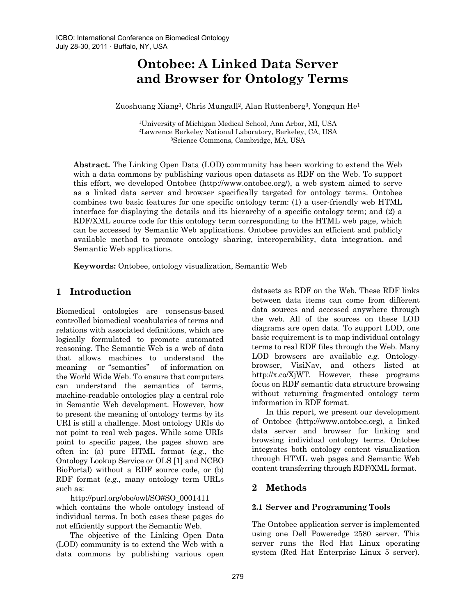# **Ontobee: A Linked Data Server and Browser for Ontology Terms**

Zuoshuang Xiang<sup>1</sup>, Chris Mungall<sup>2</sup>, Alan Ruttenberg<sup>3</sup>, Yongqun He<sup>1</sup>

<sup>1</sup>University of Michigan Medical School, Ann Arbor, MI, USA <sup>2</sup>Lawrence Berkeley National Laboratory, Berkeley, CA, USA <sup>3</sup>Science Commons, Cambridge, MA, USA

**Abstract.** The Linking Open Data (LOD) community has been working to extend the Web with a data commons by publishing various open datasets as RDF on the Web. To support this effort, we developed Ontobee (http://www.ontobee.org/), a web system aimed to serve as a linked data server and browser specifically targeted for ontology terms. Ontobee combines two basic features for one specific ontology term: (1) a user-friendly web HTML interface for displaying the details and its hierarchy of a specific ontology term; and (2) a RDF/XML source code for this ontology term corresponding to the HTML web page, which can be accessed by Semantic Web applications. Ontobee provides an efficient and publicly available method to promote ontology sharing, interoperability, data integration, and Semantic Web applications.

**Keywords:** Ontobee, ontology visualization, Semantic Web

### **1 Introduction**

Biomedical ontologies are consensus-based controlled biomedical vocabularies of terms and relations with associated definitions, which are logically formulated to promote automated reasoning. The Semantic Web is a web of data that allows machines to understand the meaning – or "semantics" – of information on the World Wide Web. To ensure that computers can understand the semantics of terms, machine-readable ontologies play a central role in Semantic Web development. However, how to present the meaning of ontology terms by its URI is still a challenge. Most ontology URIs do not point to real web pages. While some URIs point to specific pages, the pages shown are often in: (a) pure HTML format (*e.g.*, the Ontology Lookup Service or OLS [\[1\]](#page-2-0) and NCBO BioPortal) without a RDF source code, or (b) RDF format (*e.g.*, many ontology term URLs such as:

http://purl.org/obo/owl/SO#SO\_0001411 which contains the whole ontology instead of individual terms. In both cases these pages do not efficiently support the Semantic Web.

The objective of the Linking Open Data (LOD) community is to extend the Web with a data commons by publishing various open datasets as RDF on the Web. These RDF links between data items can come from different data sources and accessed anywhere through the web. All of the sources on these LOD diagrams are open data. To support LOD, one basic requirement is to map individual ontology terms to real RDF files through the Web. Many LOD browsers are available *e.g.* Ontologybrowser, VisiNav, and others listed at http://x.co/XjWT. However, these programs focus on RDF semantic data structure browsing without returning fragmented ontology term information in RDF format.

In this report, we present our development of Ontobee (http://www.ontobee.org), a linked data server and browser for linking and browsing individual ontology terms. Ontobee integrates both ontology content visualization through HTML web pages and Semantic Web content transferring through RDF/XML format.

## **2 Methods**

### **2.1 Server and Programming Tools**

The Ontobee application server is implemented using one Dell Poweredge 2580 server. This server runs the Red Hat Linux operating system (Red Hat Enterprise Linux 5 server).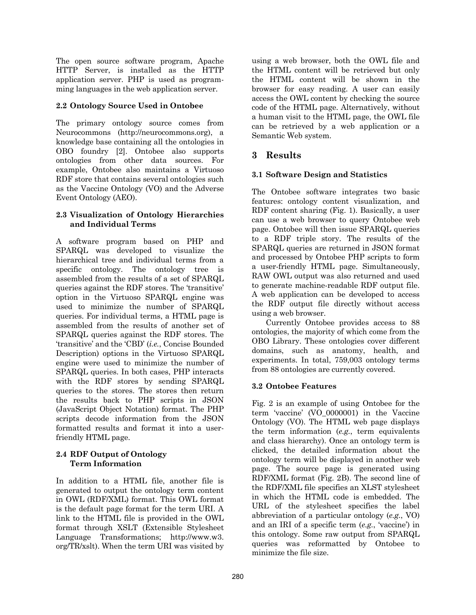The open source software program, Apache HTTP Server, is installed as the HTTP application server. PHP is used as programming languages in the web application server.

### **2.2 Ontology Source Used in Ontobee**

The primary ontology source comes from Neurocommons (http://neurocommons.org), a knowledge base containing all the ontologies in OBO foundry [\[2\]](#page-2-1). Ontobee also supports ontologies from other data sources. For example, Ontobee also maintains a Virtuoso RDF store that contains several ontologies such as the Vaccine Ontology (VO) and the Adverse Event Ontology (AEO).

### **2.3 Visualization of Ontology Hierarchies and Individual Terms**

A software program based on PHP and SPARQL was developed to visualize the hierarchical tree and individual terms from a specific ontology. The ontology tree is assembled from the results of a set of SPARQL queries against the RDF stores. The "transitive" option in the Virtuoso SPARQL engine was used to minimize the number of SPARQL queries. For individual terms, a HTML page is assembled from the results of another set of SPARQL queries against the RDF stores. The "transitive" and the "CBD" (*i.e.*, Concise Bounded Description) options in the Virtuoso SPARQL engine were used to minimize the number of SPARQL queries. In both cases, PHP interacts with the RDF stores by sending SPARQL queries to the stores. The stores then return the results back to PHP scripts in JSON (JavaScript Object Notation) format. The PHP scripts decode information from the JSON formatted results and format it into a userfriendly HTML page.

### **2.4 RDF Output of Ontology Term Information**

In addition to a HTML file, another file is generated to output the ontology term content in OWL (RDF/XML) format. This OWL format is the default page format for the term URI. A link to the HTML file is provided in the OWL format through XSLT (Extensible Stylesheet Language Transformations; http://www.w3. org/TR/xslt). When the term URI was visited by

using a web browser, both the OWL file and the HTML content will be retrieved but only the HTML content will be shown in the browser for easy reading. A user can easily access the OWL content by checking the source code of the HTML page. Alternatively, without a human visit to the HTML page, the OWL file can be retrieved by a web application or a Semantic Web system.

# **3 Results**

### **3.1 Software Design and Statistics**

The Ontobee software integrates two basic features: ontology content visualization, and RDF content sharing (Fig. 1). Basically, a user can use a web browser to query Ontobee web page. Ontobee will then issue SPARQL queries to a RDF triple story. The results of the SPARQL queries are returned in JSON format and processed by Ontobee PHP scripts to form a user-friendly HTML page. Simultaneously, RAW OWL output was also returned and used to generate machine-readable RDF output file. A web application can be developed to access the RDF output file directly without access using a web browser.

Currently Ontobee provides access to 88 ontologies, the majority of which come from the OBO Library. These ontologies cover different domains, such as anatomy, health, and experiments. In total, 759,003 ontology terms from 88 ontologies are currently covered.

### **3.2 Ontobee Features**

Fig. 2 is an example of using Ontobee for the term "vaccine" (VO\_0000001) in the Vaccine Ontology (VO). The HTML web page displays the term information (*e.g.*, term equivalents and class hierarchy). Once an ontology term is clicked, the detailed information about the ontology term will be displayed in another web page. The source page is generated using RDF/XML format (Fig. 2B). The second line of the RDF/XML file specifies an XLST stylesheet in which the HTML code is embedded. The URL of the stylesheet specifies the label abbreviation of a particular ontology (*e.g.*, VO) and an IRI of a specific term (*e.g.*, 'vaccine') in this ontology. Some raw output from SPARQL queries was reformatted by Ontobee to minimize the file size.